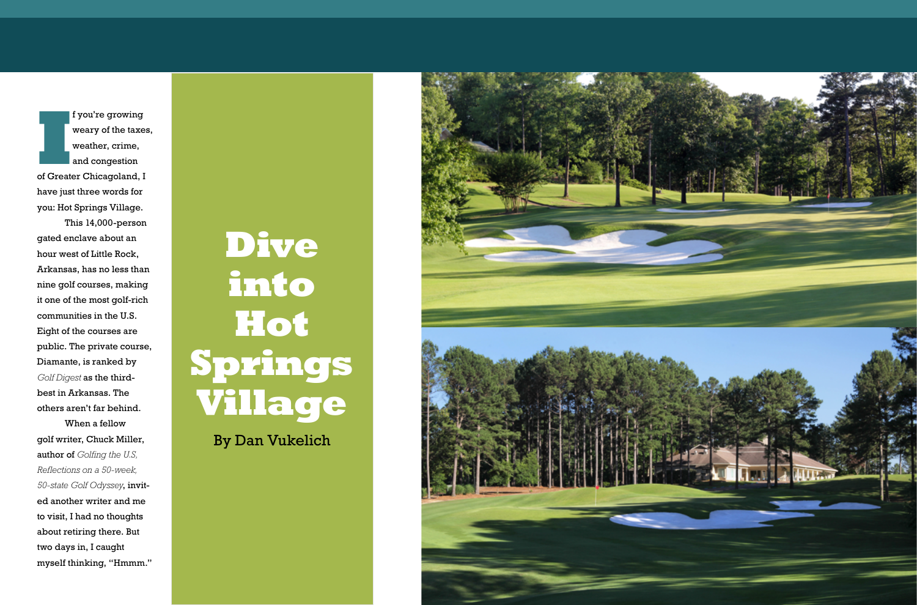I<sup>I</sup> you're growing<br>
weary of the taxes<br>
weather, crime,<br>
and congestion<br>
of Greater Chicagoland, I  $\frac{1}{2}$  f you're growing weary of the taxes, weather, crime, and congestion

have just three words for you: Hot Springs Village.

This 14,000-person gated enclave about an hour west of Little Rock, Arkansas, has no less than nine golf courses, making it one of the most golf-rich communities in the U.S. Eight of the courses are public. The private course, Diamante, is ranked by *Golf Digest* as the thirdbest in Arkansas. The others aren't far behind.

When a fellow golf writer, Chuck Miller, author of *Golfing the U.S, Reflections on a 50-week, 50-state Golf Odyssey*, invited another writer and me to visit, I had no thoughts about retiring there. But two days in, I caught myself thinking, "Hmmm."

## **Dive into Hot Springs Village**

By Dan Vukelich